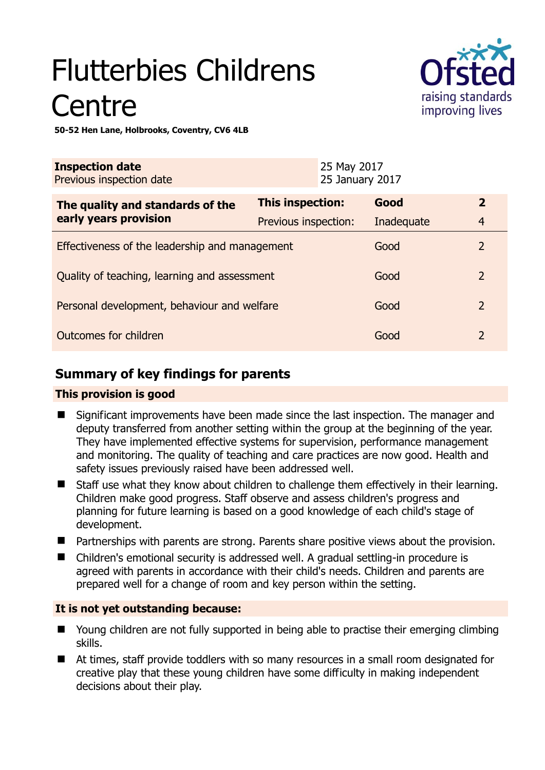# Flutterbies Childrens **Centre**



**50-52 Hen Lane, Holbrooks, Coventry, CV6 4LB** 

| <b>Inspection date</b><br>Previous inspection date        |                      | 25 May 2017<br>25 January 2017 |            |                |
|-----------------------------------------------------------|----------------------|--------------------------------|------------|----------------|
| The quality and standards of the<br>early years provision | This inspection:     |                                | Good       | $\overline{2}$ |
|                                                           | Previous inspection: |                                | Inadequate | $\overline{4}$ |
| Effectiveness of the leadership and management            |                      |                                | Good       | $\overline{2}$ |
| Quality of teaching, learning and assessment              |                      |                                | Good       | $\overline{2}$ |
| Personal development, behaviour and welfare               |                      |                                | Good       | $\overline{2}$ |
| Outcomes for children                                     |                      |                                | Good       | $\overline{2}$ |

# **Summary of key findings for parents**

#### **This provision is good**

- Significant improvements have been made since the last inspection. The manager and deputy transferred from another setting within the group at the beginning of the year. They have implemented effective systems for supervision, performance management and monitoring. The quality of teaching and care practices are now good. Health and safety issues previously raised have been addressed well.
- Staff use what they know about children to challenge them effectively in their learning. Children make good progress. Staff observe and assess children's progress and planning for future learning is based on a good knowledge of each child's stage of development.
- **Partnerships with parents are strong. Parents share positive views about the provision.**
- Children's emotional security is addressed well. A gradual settling-in procedure is agreed with parents in accordance with their child's needs. Children and parents are prepared well for a change of room and key person within the setting.

## **It is not yet outstanding because:**

- Young children are not fully supported in being able to practise their emerging climbing skills.
- At times, staff provide toddlers with so many resources in a small room designated for creative play that these young children have some difficulty in making independent decisions about their play.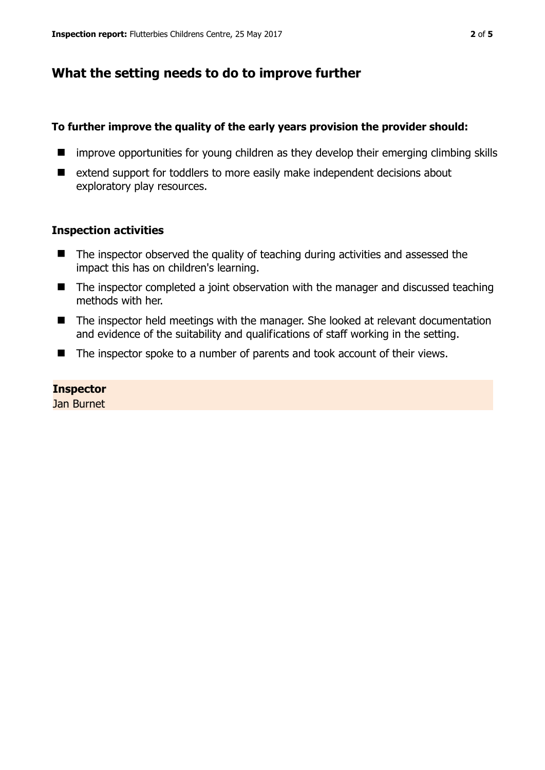## **What the setting needs to do to improve further**

#### **To further improve the quality of the early years provision the provider should:**

- **If** improve opportunities for young children as they develop their emerging climbing skills
- extend support for toddlers to more easily make independent decisions about exploratory play resources.

#### **Inspection activities**

- The inspector observed the quality of teaching during activities and assessed the impact this has on children's learning.
- The inspector completed a joint observation with the manager and discussed teaching methods with her.
- The inspector held meetings with the manager. She looked at relevant documentation and evidence of the suitability and qualifications of staff working in the setting.
- The inspector spoke to a number of parents and took account of their views.

#### **Inspector**

Jan Burnet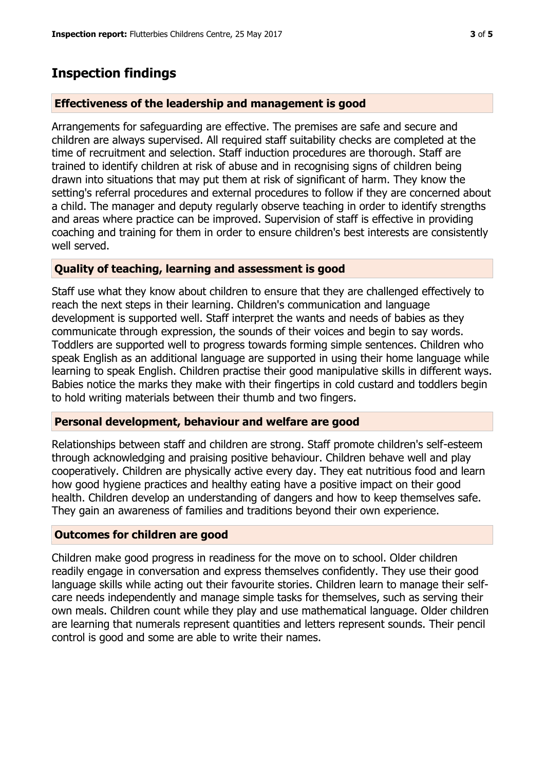## **Inspection findings**

#### **Effectiveness of the leadership and management is good**

Arrangements for safeguarding are effective. The premises are safe and secure and children are always supervised. All required staff suitability checks are completed at the time of recruitment and selection. Staff induction procedures are thorough. Staff are trained to identify children at risk of abuse and in recognising signs of children being drawn into situations that may put them at risk of significant of harm. They know the setting's referral procedures and external procedures to follow if they are concerned about a child. The manager and deputy regularly observe teaching in order to identify strengths and areas where practice can be improved. Supervision of staff is effective in providing coaching and training for them in order to ensure children's best interests are consistently well served.

### **Quality of teaching, learning and assessment is good**

Staff use what they know about children to ensure that they are challenged effectively to reach the next steps in their learning. Children's communication and language development is supported well. Staff interpret the wants and needs of babies as they communicate through expression, the sounds of their voices and begin to say words. Toddlers are supported well to progress towards forming simple sentences. Children who speak English as an additional language are supported in using their home language while learning to speak English. Children practise their good manipulative skills in different ways. Babies notice the marks they make with their fingertips in cold custard and toddlers begin to hold writing materials between their thumb and two fingers.

#### **Personal development, behaviour and welfare are good**

Relationships between staff and children are strong. Staff promote children's self-esteem through acknowledging and praising positive behaviour. Children behave well and play cooperatively. Children are physically active every day. They eat nutritious food and learn how good hygiene practices and healthy eating have a positive impact on their good health. Children develop an understanding of dangers and how to keep themselves safe. They gain an awareness of families and traditions beyond their own experience.

#### **Outcomes for children are good**

Children make good progress in readiness for the move on to school. Older children readily engage in conversation and express themselves confidently. They use their good language skills while acting out their favourite stories. Children learn to manage their selfcare needs independently and manage simple tasks for themselves, such as serving their own meals. Children count while they play and use mathematical language. Older children are learning that numerals represent quantities and letters represent sounds. Their pencil control is good and some are able to write their names.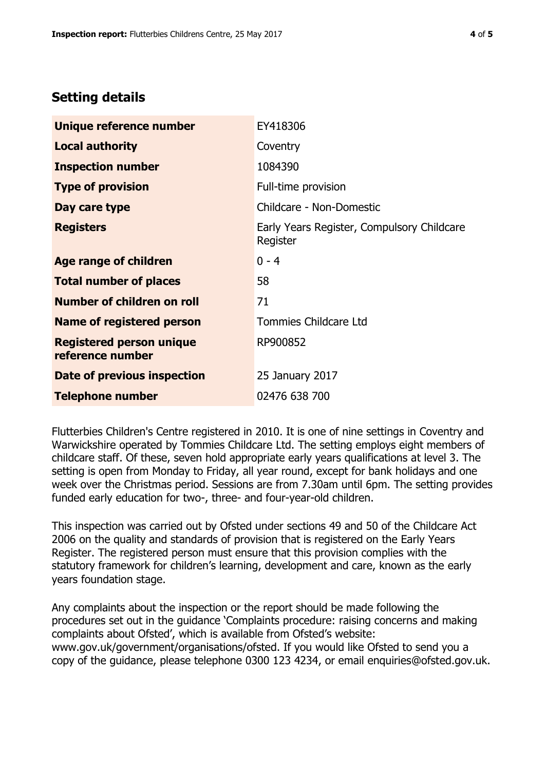## **Setting details**

| Unique reference number                             | EY418306                                               |  |
|-----------------------------------------------------|--------------------------------------------------------|--|
| <b>Local authority</b>                              | Coventry                                               |  |
| <b>Inspection number</b>                            | 1084390                                                |  |
| <b>Type of provision</b>                            | Full-time provision                                    |  |
| Day care type                                       | Childcare - Non-Domestic                               |  |
| <b>Registers</b>                                    | Early Years Register, Compulsory Childcare<br>Register |  |
| <b>Age range of children</b>                        | $0 - 4$                                                |  |
| <b>Total number of places</b>                       | 58                                                     |  |
| Number of children on roll                          | 71                                                     |  |
| Name of registered person                           | Tommies Childcare Ltd                                  |  |
| <b>Registered person unique</b><br>reference number | RP900852                                               |  |
| Date of previous inspection                         | 25 January 2017                                        |  |
| <b>Telephone number</b>                             | 02476 638 700                                          |  |

Flutterbies Children's Centre registered in 2010. It is one of nine settings in Coventry and Warwickshire operated by Tommies Childcare Ltd. The setting employs eight members of childcare staff. Of these, seven hold appropriate early years qualifications at level 3. The setting is open from Monday to Friday, all year round, except for bank holidays and one week over the Christmas period. Sessions are from 7.30am until 6pm. The setting provides funded early education for two-, three- and four-year-old children.

This inspection was carried out by Ofsted under sections 49 and 50 of the Childcare Act 2006 on the quality and standards of provision that is registered on the Early Years Register. The registered person must ensure that this provision complies with the statutory framework for children's learning, development and care, known as the early years foundation stage.

Any complaints about the inspection or the report should be made following the procedures set out in the guidance 'Complaints procedure: raising concerns and making complaints about Ofsted', which is available from Ofsted's website: www.gov.uk/government/organisations/ofsted. If you would like Ofsted to send you a copy of the guidance, please telephone 0300 123 4234, or email enquiries@ofsted.gov.uk.